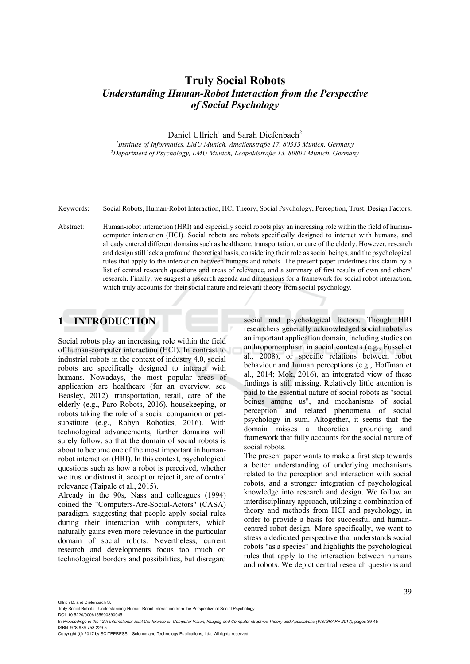# **Truly Social Robots**  *Understanding Human-Robot Interaction from the Perspective of Social Psychology*

Daniel Ullrich<sup>1</sup> and Sarah Diefenbach<sup>2</sup>

*1Institute of Informatics, LMU Munich, Amalienstraße 17, 80333 Munich, Germany 2Department of Psychology, LMU Munich, Leopoldstraße 13, 80802 Munich, Germany* 

- Keywords: Social Robots, Human-Robot Interaction, HCI Theory, Social Psychology, Perception, Trust, Design Factors.
- Abstract: Human-robot interaction (HRI) and especially social robots play an increasing role within the field of humancomputer interaction (HCI). Social robots are robots specifically designed to interact with humans, and already entered different domains such as healthcare, transportation, or care of the elderly. However, research and design still lack a profound theoretical basis, considering their role as social beings, and the psychological rules that apply to the interaction between humans and robots. The present paper underlines this claim by a list of central research questions and areas of relevance, and a summary of first results of own and others' research. Finally, we suggest a research agenda and dimensions for a framework for social robot interaction, which truly accounts for their social nature and relevant theory from social psychology.

### **1 INTRODUCTION**

Social robots play an increasing role within the field of human-computer interaction (HCI). In contrast to industrial robots in the context of industry 4.0, social robots are specifically designed to interact with humans. Nowadays, the most popular areas of application are healthcare (for an overview, see Beasley, 2012), transportation, retail, care of the elderly (e.g., Paro Robots, 2016), housekeeping, or robots taking the role of a social companion or petsubstitute (e.g., Robyn Robotics, 2016). With technological advancements, further domains will surely follow, so that the domain of social robots is about to become one of the most important in humanrobot interaction (HRI). In this context, psychological questions such as how a robot is perceived, whether we trust or distrust it, accept or reject it, are of central relevance (Taipale et al., 2015).

Already in the 90s, Nass and colleagues (1994) coined the "Computers-Are-Social-Actors" (CASA) paradigm, suggesting that people apply social rules during their interaction with computers, which naturally gains even more relevance in the particular domain of social robots. Nevertheless, current research and developments focus too much on technological borders and possibilities, but disregard social and psychological factors. Though HRI researchers generally acknowledged social robots as an important application domain, including studies on anthropomorphism in social contexts (e.g., Fussel et al., 2008), or specific relations between robot behaviour and human perceptions (e.g., Hoffman et al., 2014; Mok, 2016), an integrated view of these findings is still missing. Relatively little attention is paid to the essential nature of social robots as "social beings among us", and mechanisms of social perception and related phenomena of social psychology in sum. Altogether, it seems that the domain misses a theoretical grounding and framework that fully accounts for the social nature of social robots.

The present paper wants to make a first step towards a better understanding of underlying mechanisms related to the perception and interaction with social robots, and a stronger integration of psychological knowledge into research and design. We follow an interdisciplinary approach, utilizing a combination of theory and methods from HCI and psychology, in order to provide a basis for successful and humancentred robot design. More specifically, we want to stress a dedicated perspective that understands social robots "as a species" and highlights the psychological rules that apply to the interaction between humans and robots. We depict central research questions and

Ullrich D. and Diefenbach S.

DOI: 10.5220/0006155900390045 In *Proceedings of the 12th International Joint Conference on Computer Vision, Imaging and Computer Graphics Theory and Applications (VISIGRAPP 2017)*, pages 39-45

ISBN: 978-989-758-229-5

Copyright (C) 2017 by SCITEPRESS - Science and Technology Publications, Lda. All rights reserved

Truly Social Robots - Understanding Human-Robot Interaction from the Perspective of Social Psychology.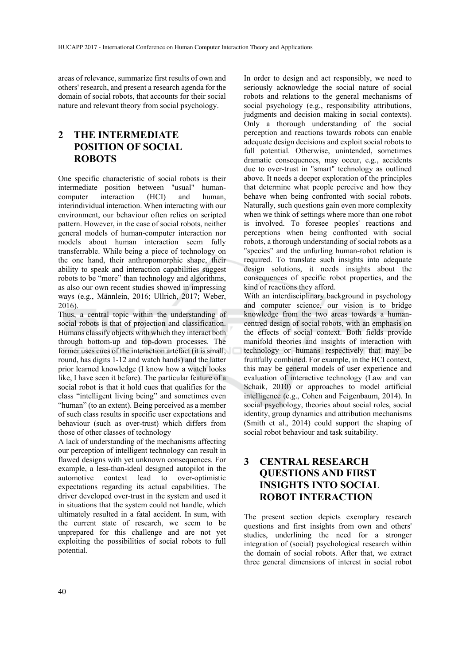areas of relevance, summarize first results of own and others' research, and present a research agenda for the domain of social robots, that accounts for their social nature and relevant theory from social psychology.

# **2 THE INTERMEDIATE POSITION OF SOCIAL ROBOTS**

One specific characteristic of social robots is their intermediate position between "usual" humancomputer interaction (HCI) and human, interindividual interaction. When interacting with our environment, our behaviour often relies on scripted pattern. However, in the case of social robots, neither general models of human-computer interaction nor models about human interaction seem fully transferrable. While being a piece of technology on the one hand, their anthropomorphic shape, their ability to speak and interaction capabilities suggest robots to be "more" than technology and algorithms, as also our own recent studies showed in impressing ways (e.g., Männlein, 2016; Ullrich, 2017; Weber, 2016).

Thus, a central topic within the understanding of social robots is that of projection and classification. Humans classify objects with which they interact both through bottom-up and top-down processes. The former uses cues of the interaction artefact (it is small, round, has digits 1-12 and watch hands) and the latter prior learned knowledge (I know how a watch looks like, I have seen it before). The particular feature of a social robot is that it hold cues that qualifies for the class "intelligent living being" and sometimes even "human" (to an extent). Being perceived as a member of such class results in specific user expectations and behaviour (such as over-trust) which differs from those of other classes of technology

A lack of understanding of the mechanisms affecting our perception of intelligent technology can result in flawed designs with yet unknown consequences. For example, a less-than-ideal designed autopilot in the automotive context lead to over-optimistic expectations regarding its actual capabilities. The driver developed over-trust in the system and used it in situations that the system could not handle, which ultimately resulted in a fatal accident. In sum, with the current state of research, we seem to be unprepared for this challenge and are not yet exploiting the possibilities of social robots to full potential.

In order to design and act responsibly, we need to seriously acknowledge the social nature of social robots and relations to the general mechanisms of social psychology (e.g., responsibility attributions, judgments and decision making in social contexts). Only a thorough understanding of the social perception and reactions towards robots can enable adequate design decisions and exploit social robots to full potential. Otherwise, unintended, sometimes dramatic consequences, may occur, e.g., accidents due to over-trust in "smart" technology as outlined above. It needs a deeper exploration of the principles that determine what people perceive and how they behave when being confronted with social robots. Naturally, such questions gain even more complexity when we think of settings where more than one robot is involved. To foresee peoples' reactions and perceptions when being confronted with social robots, a thorough understanding of social robots as a "species" and the unfurling human-robot relation is required. To translate such insights into adequate design solutions, it needs insights about the consequences of specific robot properties, and the kind of reactions they afford.

With an interdisciplinary background in psychology and computer science, our vision is to bridge knowledge from the two areas towards a humancentred design of social robots, with an emphasis on the effects of social context. Both fields provide manifold theories and insights of interaction with technology or humans respectively that may be fruitfully combined. For example, in the HCI context, this may be general models of user experience and evaluation of interactive technology (Law and van Schaik, 2010) or approaches to model artificial intelligence (e.g., Cohen and Feigenbaum, 2014). In social psychology, theories about social roles, social identity, group dynamics and attribution mechanisms (Smith et al., 2014) could support the shaping of social robot behaviour and task suitability.

# **3 CENTRAL RESEARCH QUESTIONS AND FIRST INSIGHTS INTO SOCIAL ROBOT INTERACTION**

The present section depicts exemplary research questions and first insights from own and others' studies, underlining the need for a stronger integration of (social) psychological research within the domain of social robots. After that, we extract three general dimensions of interest in social robot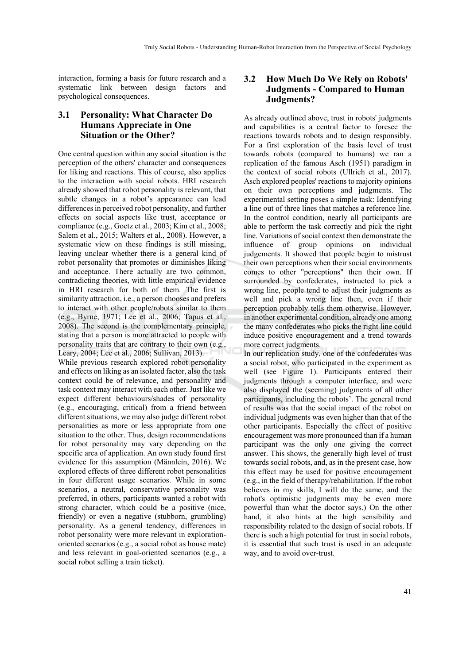interaction, forming a basis for future research and a systematic link between design factors and psychological consequences.

### **3.1 Personality: What Character Do Humans Appreciate in One Situation or the Other?**

One central question within any social situation is the perception of the others' character and consequences for liking and reactions. This of course, also applies to the interaction with social robots. HRI research already showed that robot personality is relevant, that subtle changes in a robot's appearance can lead differences in perceived robot personality, and further effects on social aspects like trust, acceptance or compliance (e.g., Goetz et al., 2003; Kim et al., 2008; Salem et al., 2015; Walters et al., 2008). However, a systematic view on these findings is still missing, leaving unclear whether there is a general kind of robot personality that promotes or diminishes liking and acceptance. There actually are two common, contradicting theories, with little empirical evidence in HRI research for both of them. The first is similarity attraction, i.e., a person chooses and prefers to interact with other people/robots similar to them (e.g., Byrne, 1971; Lee et al., 2006; Tapus et al., 2008). The second is the complementary principle, stating that a person is more attracted to people with personality traits that are contrary to their own (e.g., Leary, 2004; Lee et al., 2006; Sullivan, 2013). While previous research explored robot personality and effects on liking as an isolated factor, also the task context could be of relevance, and personality and task context may interact with each other. Just like we expect different behaviours/shades of personality (e.g., encouraging, critical) from a friend between different situations, we may also judge different robot personalities as more or less appropriate from one situation to the other. Thus, design recommendations for robot personality may vary depending on the specific area of application. An own study found first evidence for this assumption (Männlein, 2016). We explored effects of three different robot personalities in four different usage scenarios. While in some scenarios, a neutral, conservative personality was preferred, in others, participants wanted a robot with strong character, which could be a positive (nice, friendly) or even a negative (stubborn, grumbling) personality. As a general tendency, differences in robot personality were more relevant in explorationoriented scenarios (e.g., a social robot as house mate) and less relevant in goal-oriented scenarios (e.g., a social robot selling a train ticket).

### **3.2 How Much Do We Rely on Robots' Judgments - Compared to Human Judgments?**

As already outlined above, trust in robots' judgments and capabilities is a central factor to foresee the reactions towards robots and to design responsibly. For a first exploration of the basis level of trust towards robots (compared to humans) we ran a replication of the famous Asch (1951) paradigm in the context of social robots (Ullrich et al., 2017). Asch explored peoples' reactions to majority opinions on their own perceptions and judgments. The experimental setting poses a simple task: Identifying a line out of three lines that matches a reference line. In the control condition, nearly all participants are able to perform the task correctly and pick the right line. Variations of social context then demonstrate the influence of group opinions on individual judgements. It showed that people begin to mistrust their own perceptions when their social environments comes to other "perceptions" then their own. If surrounded by confederates, instructed to pick a wrong line, people tend to adjust their judgments as well and pick a wrong line then, even if their perception probably tells them otherwise. However, in another experimental condition, already one among the many confederates who picks the right line could induce positive encouragement and a trend towards more correct judgments.

In our replication study, one of the confederates was a social robot, who participated in the experiment as well (see Figure 1). Participants entered their judgments through a computer interface, and were also displayed the (seeming) judgments of all other participants, including the robots'. The general trend of results was that the social impact of the robot on individual judgments was even higher than that of the other participants. Especially the effect of positive encouragement was more pronounced than if a human participant was the only one giving the correct answer. This shows, the generally high level of trust towards social robots, and, as in the present case, how this effect may be used for positive encouragement (e.g., in the field of therapy/rehabilitation. If the robot believes in my skills, I will do the same, and the robot's optimistic judgments may be even more powerful than what the doctor says.) On the other hand, it also hints at the high sensibility and responsibility related to the design of social robots. If there is such a high potential for trust in social robots, it is essential that such trust is used in an adequate way, and to avoid over-trust.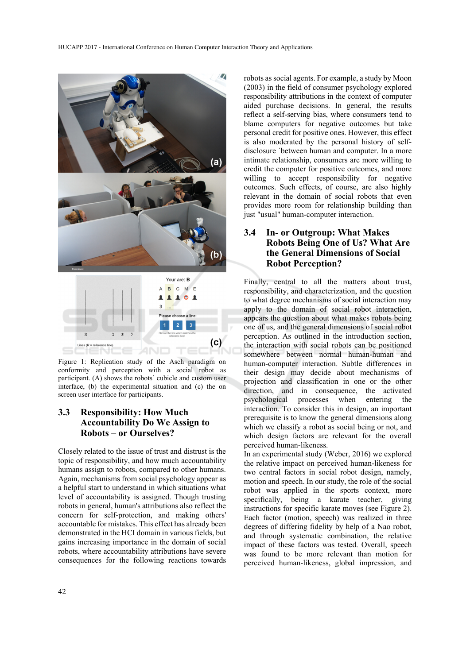

Figure 1: Replication study of the Asch paradigm on conformity and perception with a social robot as participant. (A) shows the robots' cubicle and custom user interface, (b) the experimental situation and (c) the on screen user interface for participants.

### **3.3 Responsibility: How Much Accountability Do We Assign to Robots – or Ourselves?**

Closely related to the issue of trust and distrust is the topic of responsibility, and how much accountability humans assign to robots, compared to other humans. Again, mechanisms from social psychology appear as a helpful start to understand in which situations what level of accountability is assigned. Though trusting robots in general, human's attributions also reflect the concern for self-protection, and making others' accountable for mistakes. This effect has already been demonstrated in the HCI domain in various fields, but gains increasing importance in the domain of social robots, where accountability attributions have severe consequences for the following reactions towards

robots as social agents. For example, a study by Moon (2003) in the field of consumer psychology explored responsibility attributions in the context of computer aided purchase decisions. In general, the results reflect a self-serving bias, where consumers tend to blame computers for negative outcomes but take personal credit for positive ones. However, this effect is also moderated by the personal history of selfdisclosure ´between human and computer. In a more intimate relationship, consumers are more willing to credit the computer for positive outcomes, and more willing to accept responsibility for negative outcomes. Such effects, of course, are also highly relevant in the domain of social robots that even provides more room for relationship building than just "usual" human-computer interaction.

### **3.4 In- or Outgroup: What Makes Robots Being One of Us? What Are the General Dimensions of Social Robot Perception?**

Finally, central to all the matters about trust, responsibility, and characterization, and the question to what degree mechanisms of social interaction may apply to the domain of social robot interaction, appears the question about what makes robots being one of us, and the general dimensions of social robot perception. As outlined in the introduction section, the interaction with social robots can be positioned somewhere between normal human-human and human-computer interaction. Subtle differences in their design may decide about mechanisms of projection and classification in one or the other direction, and in consequence, the activated psychological processes when entering the interaction. To consider this in design, an important prerequisite is to know the general dimensions along which we classify a robot as social being or not, and which design factors are relevant for the overall perceived human-likeness.

In an experimental study (Weber, 2016) we explored the relative impact on perceived human-likeness for two central factors in social robot design, namely, motion and speech. In our study, the role of the social robot was applied in the sports context, more specifically, being a karate teacher, giving instructions for specific karate moves (see Figure 2). Each factor (motion, speech) was realized in three degrees of differing fidelity by help of a Nao robot, and through systematic combination, the relative impact of these factors was tested. Overall, speech was found to be more relevant than motion for perceived human-likeness, global impression, and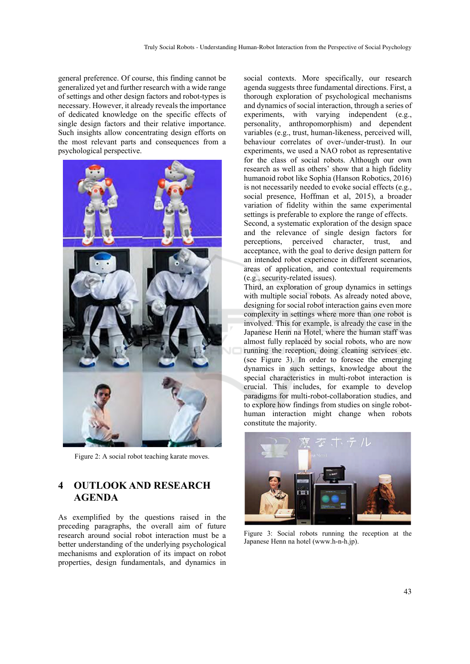general preference. Of course, this finding cannot be generalized yet and further research with a wide range of settings and other design factors and robot-types is necessary. However, it already reveals the importance of dedicated knowledge on the specific effects of single design factors and their relative importance. Such insights allow concentrating design efforts on the most relevant parts and consequences from a psychological perspective.



Figure 2: A social robot teaching karate moves.

# **4 OUTLOOK AND RESEARCH AGENDA**

As exemplified by the questions raised in the preceding paragraphs, the overall aim of future research around social robot interaction must be a better understanding of the underlying psychological mechanisms and exploration of its impact on robot properties, design fundamentals, and dynamics in

social contexts. More specifically, our research agenda suggests three fundamental directions. First, a thorough exploration of psychological mechanisms and dynamics of social interaction, through a series of experiments, with varying independent (e.g., personality, anthropomorphism) and dependent variables (e.g., trust, human-likeness, perceived will, behaviour correlates of over-/under-trust). In our experiments, we used a NAO robot as representative for the class of social robots. Although our own research as well as others' show that a high fidelity humanoid robot like Sophia (Hanson Robotics, 2016) is not necessarily needed to evoke social effects (e.g., social presence, Hoffman et al, 2015), a broader variation of fidelity within the same experimental settings is preferable to explore the range of effects. Second, a systematic exploration of the design space and the relevance of single design factors for perceptions, perceived character, trust, and acceptance, with the goal to derive design pattern for

an intended robot experience in different scenarios, areas of application, and contextual requirements (e.g., security-related issues). Third, an exploration of group dynamics in settings

with multiple social robots. As already noted above, designing for social robot interaction gains even more complexity in settings where more than one robot is involved. This for example, is already the case in the Japanese Henn na Hotel, where the human staff was almost fully replaced by social robots, who are now running the reception, doing cleaning services etc. (see Figure 3). In order to foresee the emerging dynamics in such settings, knowledge about the special characteristics in multi-robot interaction is crucial. This includes, for example to develop paradigms for multi-robot-collaboration studies, and to explore how findings from studies on single robothuman interaction might change when robots constitute the majority.



Figure 3: Social robots running the reception at the Japanese Henn na hotel (www.h-n-h.jp).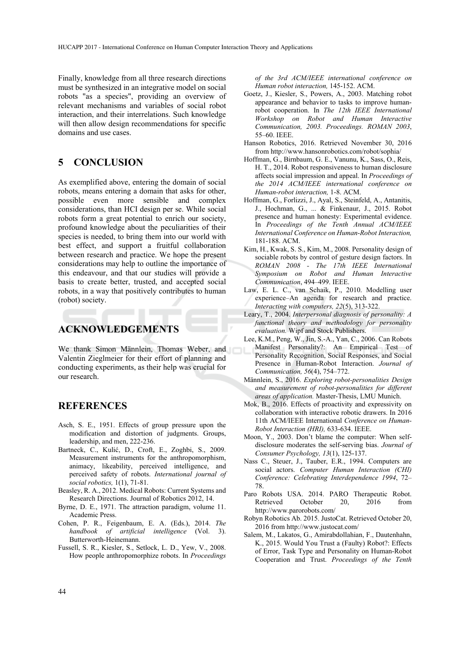Finally, knowledge from all three research directions must be synthesized in an integrative model on social robots "as a species", providing an overview of relevant mechanisms and variables of social robot interaction, and their interrelations. Such knowledge will then allow design recommendations for specific domains and use cases.

## **5 CONCLUSION**

As exemplified above, entering the domain of social robots, means entering a domain that asks for other, possible even more sensible and complex considerations, than HCI design per se. While social robots form a great potential to enrich our society, profound knowledge about the peculiarities of their species is needed, to bring them into our world with best effect, and support a fruitful collaboration between research and practice. We hope the present considerations may help to outline the importance of this endeavour, and that our studies will provide a basis to create better, trusted, and accepted social robots, in a way that positively contributes to human (robot) society.

### **ACKNOWLEDGEMENTS**

We thank Simon Männlein, Thomas Weber, and Valentin Zieglmeier for their effort of planning and conducting experiments, as their help was crucial for our research.

#### **REFERENCES**

- Asch, S. E., 1951. Effects of group pressure upon the modification and distortion of judgments. Groups, leadership, and men, 222-236.
- Bartneck, C., Kulić, D., Croft, E., Zoghbi, S., 2009. Measurement instruments for the anthropomorphism, animacy, likeability, perceived intelligence, and perceived safety of robots. *International journal of social robotics,* 1(1), 71-81.
- Beasley, R. A., 2012. Medical Robots: Current Systems and Research Directions. Journal of Robotics 2012, 14.
- Byrne, D. E., 1971. The attraction paradigm, volume 11. Academic Press.
- Cohen, P. R., Feigenbaum, E. A. (Eds.), 2014. *The handbook of artificial intelligence* (Vol. 3). Butterworth-Heinemann.
- Fussell, S. R., Kiesler, S., Setlock, L. D., Yew, V., 2008. How people anthropomorphize robots. In *Proceedings*

*of the 3rd ACM/IEEE international conference on Human robot interaction,* 145-152. ACM.

- Goetz, J., Kiesler, S., Powers, A., 2003. Matching robot appearance and behavior to tasks to improve humanrobot cooperation. In *The 12th IEEE International Workshop on Robot and Human Interactive Communication, 2003. Proceedings. ROMAN 2003*, 55–60. IEEE.
- Hanson Robotics, 2016. Retrieved November 30, 2016 from http://www.hansonrobotics.com/robot/sophia/
- Hoffman, G., Birnbaum, G. E., Vanunu, K., Sass, O., Reis, H. T., 2014. Robot responsiveness to human disclosure affects social impression and appeal. In *Proceedings of the 2014 ACM/IEEE international conference on Human-robot interaction,* 1-8. ACM.
- Hoffman, G., Forlizzi, J., Ayal, S., Steinfeld, A., Antanitis, J., Hochman, G., ... & Finkenaur, J., 2015. Robot presence and human honesty: Experimental evidence. In *Proceedings of the Tenth Annual ACM/IEEE International Conference on Human-Robot Interaction,* 181-188. ACM.
- Kim, H., Kwak, S. S., Kim, M., 2008. Personality design of sociable robots by control of gesture design factors. In *ROMAN 2008 - The 17th IEEE International Symposium on Robot and Human Interactive Communication*, 494–499. IEEE.
- Law, E. L. C., van Schaik, P., 2010. Modelling user experience–An agenda for research and practice. *Interacting with computers, 22*(5), 313-322.
- Leary, T., 2004. *Interpersonal diagnosis of personality: A functional theory and methodology for personality evaluation.* Wipf and Stock Publishers.
- Lee, K.M., Peng, W., Jin, S.-A., Yan, C., 2006. Can Robots Manifest Personality?: An Empirical Test of Personality Recognition, Social Responses, and Social Presence in Human-Robot Interaction. *Journal of Communication, 56*(4), 754–772.
- Männlein, S., 2016. *Exploring robot-personalities Design and measurement of robot-personalities for different areas of application.* Master-Thesis, LMU Munich.
- Mok, B., 2016. Effects of proactivity and expressivity on collaboration with interactive robotic drawers. In 2016 11th ACM/IEEE International *Conference on Human-Robot Interaction (HRI),* 633-634. IEEE.
- Moon, Y., 2003. Don't blame the computer: When selfdisclosure moderates the self-serving bias. *Journal of Consumer Psychology, 13*(1), 125-137.
- Nass C., Steuer, J., Tauber, E.R., 1994. Computers are social actors. *Computer Human Interaction (CHI) Conference: Celebrating Interdependence 1994*, 72– 78.
- Paro Robots USA. 2014. PARO Therapeutic Robot. Retrieved October 20, 2016 from http://www.parorobots.com/
- Robyn Robotics Ab. 2015. JustoCat. Retrieved October 20, 2016 from http://www.justocat.com/
- Salem, M., Lakatos, G., Amirabdollahian, F., Dautenhahn, K., 2015. Would You Trust a (Faulty) Robot?: Effects of Error, Task Type and Personality on Human-Robot Cooperation and Trust. *Proceedings of the Tenth*